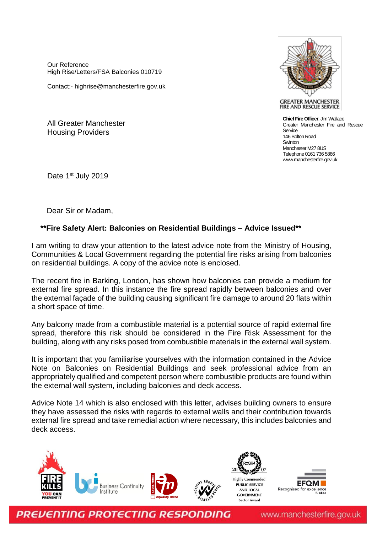Our Reference High Rise/Letters/FSA Balconies 010719

Contact:- highrise@manchesterfire.gov.uk

All Greater Manchester Housing Providers



**GREATER MANCHESTER** FIRE AND RESCUE SERVICE

**Chief Fire Officer**: Jim Wallace Greater Manchester Fire and Rescue Sentice 146 Bolton Road **Swinton** Manchester M27 8US Telephone 0161 736 5866 www.manchesterfire.gov.uk

Date 1<sup>st</sup> July 2019

Dear Sir or Madam,

## **\*\*Fire Safety Alert: Balconies on Residential Buildings – Advice Issued\*\***

I am writing to draw your attention to the latest advice note from the Ministry of Housing, Communities & Local Government regarding the potential fire risks arising from balconies on residential buildings. A copy of the advice note is enclosed.

The recent fire in Barking, London, has shown how balconies can provide a medium for external fire spread. In this instance the fire spread rapidly between balconies and over the external façade of the building causing significant fire damage to around 20 flats within a short space of time.

Any balcony made from a combustible material is a potential source of rapid external fire spread, therefore this risk should be considered in the Fire Risk Assessment for the building, along with any risks posed from combustible materials in the external wall system.

It is important that you familiarise yourselves with the information contained in the Advice Note on Balconies on Residential Buildings and seek professional advice from an appropriately qualified and competent person where combustible products are found within the external wall system, including balconies and deck access.

Advice Note 14 which is also enclosed with this letter, advises building owners to ensure they have assessed the risks with regards to external walls and their contribution towards external fire spread and take remedial action where necessary, this includes balconies and deck access.





**PREVENTING PROTECTING RESPONDING** 

www.manchesterfire.gov.uk